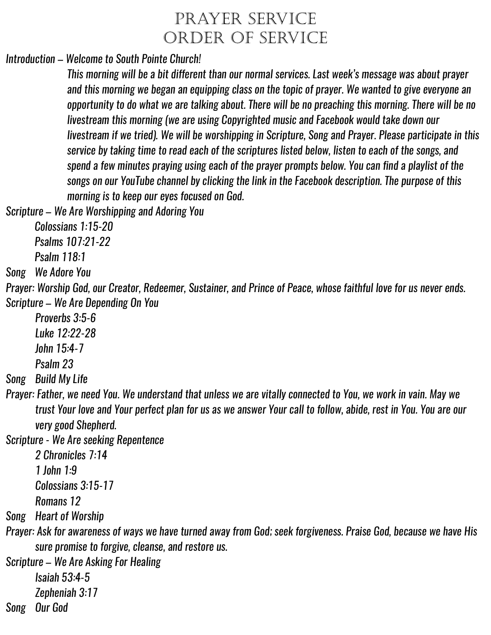## PRAYER SERVICE ORDER OF SERVICE

*Introduction – Welcome to South Pointe Church!*

*This morning will be a bit different than our normal services. Last week's message was about prayer and this morning we began an equipping class on the topic of prayer. We wanted to give everyone an opportunity to do what we are talking about. There will be no preaching this morning. There will be no livestream this morning (we are using Copyrighted music and Facebook would take down our livestream if we tried). We will be worshipping in Scripture, Song and Prayer. Please participate in this service by taking time to read each of the scriptures listed below, listen to each of the songs, and spend a few minutes praying using each of the prayer prompts below. You can find a playlist of the songs on our YouTube channel by clicking the link in the Facebook description. The purpose of this morning is to keep our eyes focused on God.*

*Scripture – We Are Worshipping and Adoring You*

*Colossians 1:15-20*

*Psalms 107:21-22*

*Psalm 118:1*

*Song We Adore You*

*Prayer: Worship God, our Creator, Redeemer, Sustainer, and Prince of Peace, whose faithful love for us never ends. Scripture – We Are Depending On You*

*Proverbs 3:5-6 Luke 12:22-28 John 15:4-7 Psalm 23*

*Song Build My Life*

*Prayer: Father, we need You. We understand that unless we are vitally connected to You, we work in vain. May we trust Your love and Your perfect plan for us as we answer Your call to follow, abide, rest in You. You are our very good Shepherd.*

*Scripture - We Are seeking Repentence* 

*2 Chronicles 7:14*

*1 John 1:9*

*Colossians 3:15-17*

*Romans 12*

*Song Heart of Worship*

*Prayer: Ask for awareness of ways we have turned away from God; seek forgiveness. Praise God, because we have His sure promise to forgive, cleanse, and restore us.*

*Scripture – We Are Asking For Healing*

*Isaiah 53:4-5*

*Zepheniah 3:17*

*Song Our God*